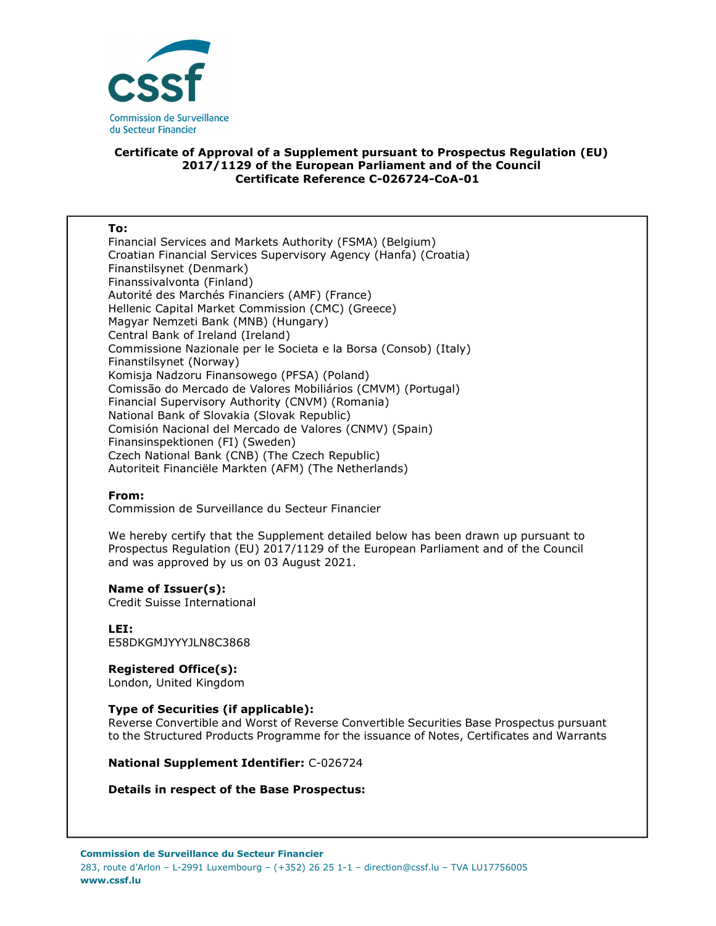

# **Certificate of Approval of a Supplement pursuant to Prospectus Regulation (EU) 2017/1129 of the European Parliament and of the Council Certificate Reference C-026724-CoA-01**

### **To:**

Financial Services and Markets Authority (FSMA) (Belgium) Croatian Financial Services Supervisory Agency (Hanfa) (Croatia) Finanstilsynet (Denmark) Finanssivalvonta (Finland) Autorité des Marchés Financiers (AMF) (France) Hellenic Capital Market Commission (CMC) (Greece) Magyar Nemzeti Bank (MNB) (Hungary) Central Bank of Ireland (Ireland) Commissione Nazionale per le Societa e la Borsa (Consob) (Italy) Finanstilsynet (Norway) Komisja Nadzoru Finansowego (PFSA) (Poland) Comissão do Mercado de Valores Mobiliários (CMVM) (Portugal) Financial Supervisory Authority (CNVM) (Romania) National Bank of Slovakia (Slovak Republic) Comisión Nacional del Mercado de Valores (CNMV) (Spain) Finansinspektionen (FI) (Sweden) Czech National Bank (CNB) (The Czech Republic) Autoriteit Financiële Markten (AFM) (The Netherlands)

## **From:**

Commission de Surveillance du Secteur Financier

We hereby certify that the Supplement detailed below has been drawn up pursuant to Prospectus Regulation (EU) 2017/1129 of the European Parliament and of the Council and was approved by us on 03 August 2021.

#### **Name of Issuer(s):**

Credit Suisse International

**LEI:** E58DKGMJYYYJLN8C3868

#### **Registered Office(s):**  London, United Kingdom

## **Type of Securities (if applicable):**

Reverse Convertible and Worst of Reverse Convertible Securities Base Prospectus pursuant to the Structured Products Programme for the issuance of Notes, Certificates and Warrants

**National Supplement Identifier:** C-026724

## **Details in respect of the Base Prospectus:**